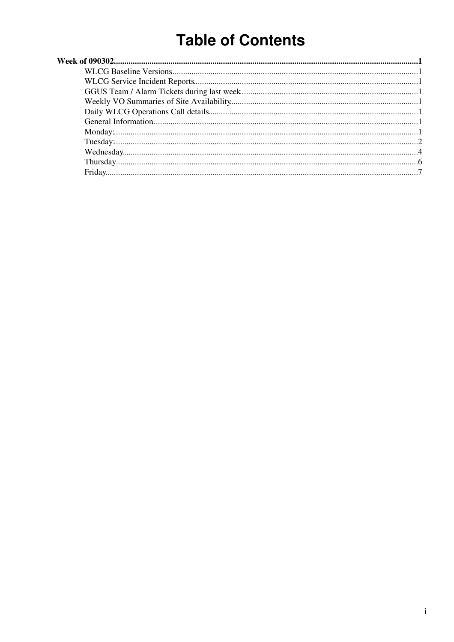# **Table of Contents**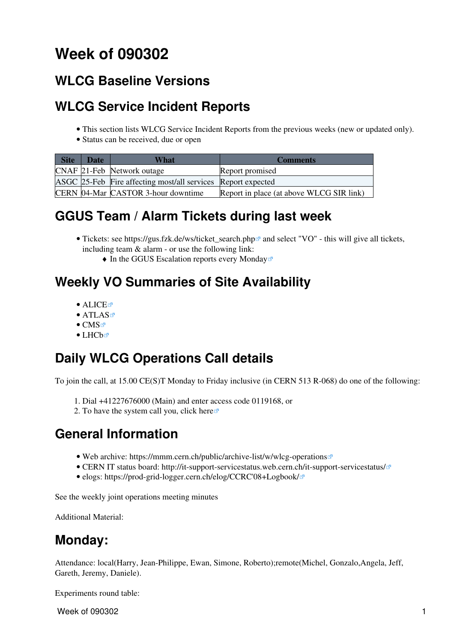## <span id="page-1-0"></span>**Week of 090302**

### <span id="page-1-1"></span>**[WLCG Baseline Versions](https://twiki.cern.ch/twiki/bin/view/LCG/WLCGBaselineVersions)**

### <span id="page-1-2"></span>**[WLCG Service Incident Reports](https://twiki.cern.ch/twiki/bin/view/LCG/WLCGServiceIncidents)**

- This section lists WLCG Service Incident Reports from the previous weeks (new or updated only).
- Status can be received, due or open

| <b>Site</b> | <b>Date</b> | What                                                         | <b>Comments</b>                          |
|-------------|-------------|--------------------------------------------------------------|------------------------------------------|
|             |             | CNAF 21-Feb Network outage                                   | Report promised                          |
|             |             | ASGC 25-Feb Fire affecting most/all services Report expected |                                          |
|             |             | CERN 04-Mar CASTOR 3-hour downtime                           | Report in place (at above WLCG SIR link) |

### <span id="page-1-3"></span>**GGUS Team / Alarm Tickets during last week**

- Tickets: see https://gus.fzk.de/ws/ticket\_search.php<sup>{{}}</sup> and select "VO" this will give all tickets, including team & alarm - or use the following link:
	- $\triangle$  [In the GGUS Escalation reports every Monday](https://gus.fzk.de/pages/metrics/download_escalation_reports_wlcg.php)<sup>®</sup>

### <span id="page-1-4"></span>**Weekly VO Summaries of Site Availability**

- [ALICE](http://dashb-alice-sam.cern.ch/dashboard/request.py/historicalsiteavailability?mode=siteavl&siteSelect3=101&sites=CERN-PROD&sites=FZK-LCG2&sites=IN2P3-CC&sites=INFN-T1&sites=NDGF-T1&sites=NIKHEF-ELPROD&sites=RAL-LCG2&sites=SARA-MATRIX&algoId=6&timeRange=lastWeek)E
- [ATLAS](http://dashb-atlas-sam.cern.ch/dashboard/request.py/historicalsiteavailability?mode=siteavl&siteSelect3=403&sites=CERN-PROD&sites=FZK-LCG2&sites=IN2P3-CC&sites=INFN-CNAF&sites=NDGF-T1&sites=NIKHEF-ELPROD&sites=RAL-LCG2&sites=SARA-MATRIX&sites=TRIUMF-LCG2&sites=Taiwan-LCG2&sites=pic&algoId=21&timeRange=lastWeek)E
- $\bullet$  [CMS](http://dashb-cms-sam.cern.ch/dashboard/request.py/historicalsiteavailability?siteSelect3=T1T0&sites=T0_CH_CERN&sites=T1_DE_FZK&sites=T1_ES_PIC&sites=T1_FR_CCIN2P3&sites=T1_IT_CNAF&sites=T1_TW_ASGC&sites=T1_UK_RAL&sites=T1_US_FNAL&timeRange=lastWeek) $\vec{r}$
- $\bullet$  [LHCb](http://dashb-lhcb-sam.cern.ch/dashboard/request.py/historicalsiteavailability?mode=siteavl&siteSelect3=501&sites=LCG.CERN.ch&sites=LCG.CNAF.it&sites=LCG.GRIDKA.de&sites=LCG.IN2P3.fr&sites=LCG.NIKHEF.nl&sites=LCG.PIC.es&sites=LCG.RAL.uk&algoId=82&timeRange=lastWeek) $\textcircled{r}$

### <span id="page-1-5"></span>**Daily WLCG Operations Call details**

To join the call, at 15.00 CE(S)T Monday to Friday inclusive (in CERN 513 R-068) do one of the following:

- 1. Dial +41227676000 (Main) and enter access code 0119168, or
- 2. To have the system call you, click [here](https://audioconf.cern.ch/call/0119168) $\infty$

### <span id="page-1-6"></span>**General Information**

- Web archive: <https://mmm.cern.ch/public/archive-list/w/wlcg-operations>
- CERN IT status board: <http://it-support-servicestatus.web.cern.ch/it-support-servicestatus/>
- elogs: [https://prod-grid-logger.cern.ch/elog/CCRC'08+Logbook/](https://prod-grid-logger.cern.ch/elog/CCRC) $\Phi$

See the [weekly joint operations meeting minutes](https://twiki.cern.ch/twiki/bin/view/EGEE/WlcgOsgEgeeOpsMeetingMinutes)

Additional Material:

### <span id="page-1-7"></span>**Monday:**

Attendance: local(Harry, Jean-Philippe, Ewan, Simone, Roberto);remote(Michel, Gonzalo,Angela, Jeff, Gareth, Jeremy, Daniele).

Experiments round table:

**Week of 090302** 1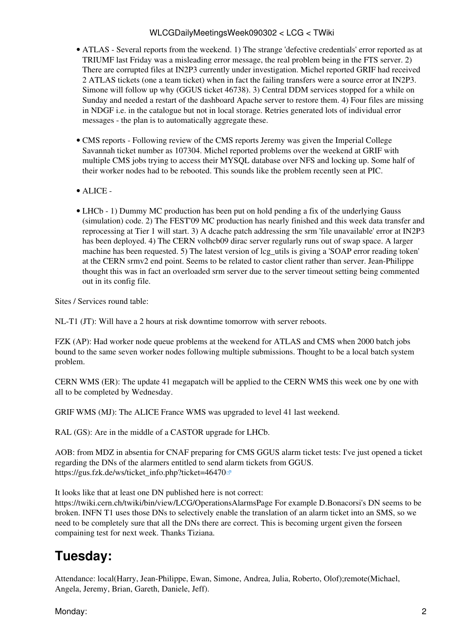- ATLAS Several reports from the weekend. 1) The strange 'defective credentials' error reported as at TRIUMF last Friday was a misleading error message, the real problem being in the FTS server. 2) There are corrupted files at [IN2P3](https://twiki.cern.ch/twiki/bin/view/LCG/IN2P3) currently under investigation. Michel reported GRIF had received 2 ATLAS tickets (one a team ticket) when in fact the failing transfers were a source error at [IN2P3.](https://twiki.cern.ch/twiki/bin/view/LCG/IN2P3) Simone will follow up why (GGUS ticket 46738). 3) Central DDM services stopped for a while on Sunday and needed a restart of the dashboard Apache server to restore them. 4) Four files are missing in NDGF i.e. in the catalogue but not in local storage. Retries generated lots of individual error messages - the plan is to automatically aggregate these.
- CMS [reports](https://twiki.cern.ch/twiki/bin/view/CMS/FacOps_WLCGdailyreports) Following review of the CMS reports Jeremy was given the Imperial College Savannah ticket number as 107304. Michel reported problems over the weekend at GRIF with multiple CMS jobs trying to access their MYSQL database over NFS and locking up. Some half of their worker nodes had to be rebooted. This sounds like the problem recently seen at PIC.
- ALICE -
- LHCb 1) Dummy MC production has been put on hold pending a fix of the underlying Gauss (simulation) code. 2) The FEST'09 MC production has nearly finished and this week data transfer and reprocessing at Tier 1 will start. 3) A dcache patch addressing the srm 'file unavailable' error at [IN2P3](https://twiki.cern.ch/twiki/bin/view/LCG/IN2P3) has been deployed. 4) The CERN volhcb09 dirac server regularly runs out of swap space. A larger machine has been requested. 5) The latest version of lcg\_utils is giving a 'SOAP error reading token' at the CERN srmv2 end point. Seems to be related to castor client rather than server. Jean-Philippe thought this was in fact an overloaded srm server due to the server timeout setting being commented out in its config file.

Sites / Services round table:

NL-T1 (JT): Will have a 2 hours at risk downtime tomorrow with server reboots.

FZK (AP): Had worker node queue problems at the weekend for ATLAS and CMS when 2000 batch jobs bound to the same seven worker nodes following multiple submissions. Thought to be a local batch system problem.

CERN WMS (ER): The update 41 megapatch will be applied to the CERN WMS this week one by one with all to be completed by Wednesday.

GRIF WMS (MJ): The ALICE France WMS was upgraded to level 41 last weekend.

[RAL](https://twiki.cern.ch/twiki/bin/view/LCG/RAL) (GS): Are in the middle of a CASTOR upgrade for LHCb.

AOB: from MDZ in absentia for CNAF preparing for CMS GGUS alarm ticket tests: I've just opened a ticket regarding the DNs of the alarmers entitled to send alarm tickets from GGUS. [https://gus.fzk.de/ws/ticket\\_info.php?ticket=46470](https://gus.fzk.de/ws/ticket_info.php?ticket=46470)<sup>®</sup>

It looks like that at least one DN published here is not correct:

<https://twiki.cern.ch/twiki/bin/view/LCG/OperationsAlarmsPage> For example D.Bonacorsi's DN seems to be broken. INFN T1 uses those DNs to selectively enable the translation of an alarm ticket into an SMS, so we need to be completely sure that all the DNs there are correct. This is becoming urgent given the forseen compaining test for next week. Thanks Tiziana.

### <span id="page-2-0"></span>**Tuesday:**

Attendance: local(Harry, Jean-Philippe, Ewan, Simone, Andrea, Julia, Roberto, Olof);remote(Michael, Angela, Jeremy, Brian, Gareth, Daniele, Jeff).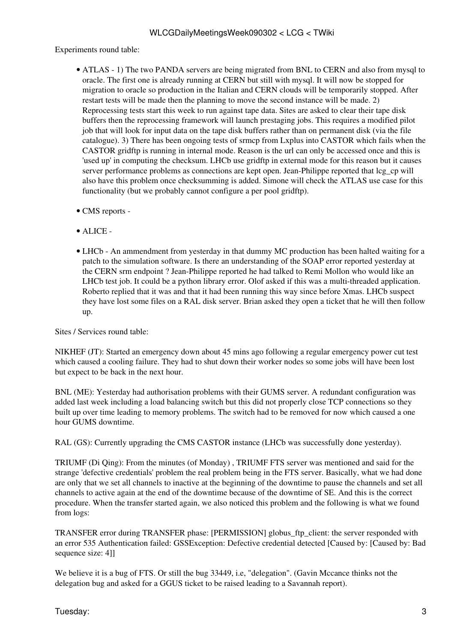Experiments round table:

- ATLAS 1) The two PANDA servers are being migrated from BNL to CERN and also from mysql to oracle. The first one is already running at CERN but still with mysql. It will now be stopped for migration to oracle so production in the Italian and CERN clouds will be temporarily stopped. After restart tests will be made then the planning to move the second instance will be made. 2) Reprocessing tests start this week to run against tape data. Sites are asked to clear their tape disk buffers then the reprocessing framework will launch prestaging jobs. This requires a modified pilot job that will look for input data on the tape disk buffers rather than on permanent disk (via the file catalogue). 3) There has been ongoing tests of srmcp from Lxplus into CASTOR which fails when the CASTOR gridftp is running in internal mode. Reason is the url can only be accessed once and this is 'used up' in computing the checksum. LHCb use gridftp in external mode for this reason but it causes server performance problems as connections are kept open. Jean-Philippe reported that lcg\_cp will also have this problem once checksumming is added. Simone will check the ATLAS use case for this functionality (but we probably cannot configure a per pool gridftp).
- CMS [reports](https://twiki.cern.ch/twiki/bin/view/CMS/FacOps_WLCGdailyreports) -
- ALICE -
- LHCb An ammendment from yesterday in that dummy MC production has been halted waiting for a patch to the simulation software. Is there an understanding of the SOAP error reported yesterday at the CERN srm endpoint ? Jean-Philippe reported he had talked to Remi Mollon who would like an LHCb test job. It could be a python library error. Olof asked if this was a multi-threaded application. Roberto replied that it was and that it had been running this way since before Xmas. LHCb suspect they have lost some files on a [RAL](https://twiki.cern.ch/twiki/bin/view/LCG/RAL) disk server. Brian asked they open a ticket that he will then follow up.

Sites / Services round table:

NIKHEF (JT): Started an emergency down about 45 mins ago following a regular emergency power cut test which caused a cooling failure. They had to shut down their worker nodes so some jobs will have been lost but expect to be back in the next hour.

BNL (ME): Yesterday had authorisation problems with their GUMS server. A redundant configuration was added last week including a load balancing switch but this did not properly close TCP connections so they built up over time leading to memory problems. The switch had to be removed for now which caused a one hour GUMS downtime.

[RAL](https://twiki.cern.ch/twiki/bin/view/LCG/RAL) (GS): Currently upgrading the CMS CASTOR instance (LHCb was successfully done yesterday).

TRIUMF (Di Qing): From the minutes (of Monday) , TRIUMF FTS server was mentioned and said for the strange 'defective credentials' problem the real problem being in the FTS server. Basically, what we had done are only that we set all channels to inactive at the beginning of the downtime to pause the channels and set all channels to active again at the end of the downtime because of the downtime of SE. And this is the correct procedure. When the transfer started again, we also noticed this problem and the following is what we found from logs:

TRANSFER error during TRANSFER phase: [PERMISSION] globus\_ftp\_client: the server responded with an error 535 Authentication failed: GSSException: Defective credential detected [Caused by: [Caused by: Bad sequence size: 4]]

We believe it is a bug of FTS. Or still the bug 33449, i.e. "delegation". (Gavin Mccance thinks not the delegation bug and asked for a GGUS ticket to be raised leading to a Savannah report).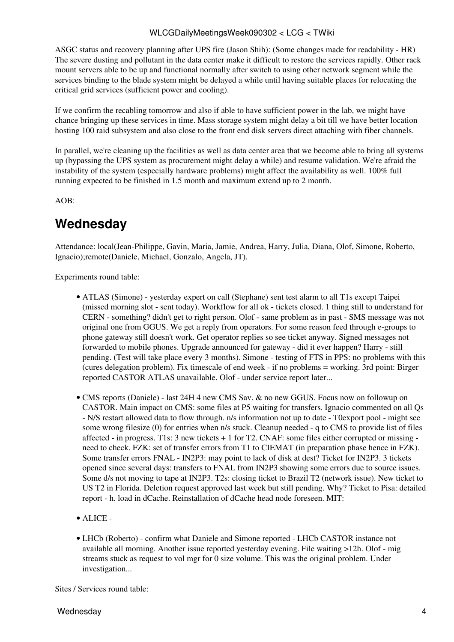ASGC status and recovery planning after UPS fire (Jason Shih): (Some changes made for readability - HR) The severe dusting and pollutant in the data center make it difficult to restore the services rapidly. Other rack mount servers able to be up and functional normally after switch to using other network segment while the services binding to the blade system might be delayed a while until having suitable places for relocating the critical grid services (sufficient power and cooling).

If we confirm the recabling tomorrow and also if able to have sufficient power in the lab, we might have chance bringing up these services in time. Mass storage system might delay a bit till we have better location hosting 100 raid subsystem and also close to the front end disk servers direct attaching with fiber channels.

In parallel, we're cleaning up the facilities as well as data center area that we become able to bring all systems up (bypassing the UPS system as procurement might delay a while) and resume validation. We're afraid the instability of the system (especially hardware problems) might affect the availability as well. 100% full running expected to be finished in 1.5 month and maximum extend up to 2 month.

AOB:

### <span id="page-4-0"></span>**Wednesday**

Attendance: local(Jean-Philippe, Gavin, Maria, Jamie, Andrea, Harry, Julia, Diana, Olof, Simone, Roberto, Ignacio);remote(Daniele, Michael, Gonzalo, Angela, JT).

Experiments round table:

- ATLAS (Simone) yesterday expert on call (Stephane) sent test alarm to all T1s except Taipei (missed morning slot - sent today). Workflow for all ok - tickets closed. 1 thing still to understand for CERN - something? didn't get to right person. Olof - same problem as in past - SMS message was not original one from GGUS. We get a reply from operators. For some reason feed through e-groups to phone gateway still doesn't work. Get operator replies so see ticket anyway. Signed messages not forwarded to mobile phones. Upgrade announced for gateway - did it ever happen? Harry - still pending. (Test will take place every 3 months). Simone - testing of FTS in PPS: no problems with this (cures delegation problem). Fix timescale of end week - if no problems = working. 3rd point: Birger reported CASTOR ATLAS unavailable. Olof - under service report later...
- CMS [reports](https://twiki.cern.ch/twiki/bin/view/CMS/FacOps_WLCGdailyreports) (Daniele) last 24H 4 new CMS Sav. & no new GGUS. Focus now on followup on CASTOR. Main impact on CMS: some files at P5 waiting for transfers. Ignacio commented on all Qs - N/S restart allowed data to flow through. n/s information not up to date - T0export pool - might see some wrong filesize (0) for entries when n/s stuck. Cleanup needed - q to CMS to provide list of files affected - in progress. T1s: 3 new tickets + 1 for T2. CNAF: some files either corrupted or missing need to check. FZK: set of transfer errors from T1 to CIEMAT (in preparation phase hence in FZK). Some transfer errors FNAL - [IN2P3](https://twiki.cern.ch/twiki/bin/view/LCG/IN2P3): may point to lack of disk at dest? Ticket for [IN2P3.](https://twiki.cern.ch/twiki/bin/view/LCG/IN2P3) 3 tickets opened since several days: transfers to FNAL from [IN2P3](https://twiki.cern.ch/twiki/bin/view/LCG/IN2P3) showing some errors due to source issues. Some d/s not moving to tape at [IN2P3](https://twiki.cern.ch/twiki/bin/view/LCG/IN2P3). T2s: closing ticket to Brazil T2 (network issue). New ticket to US T2 in Florida. Deletion request approved last week but still pending. Why? Ticket to Pisa: detailed report - h. load in dCache. Reinstallation of dCache head node foreseen. MIT:
- ALICE -
- LHCb (Roberto) confirm what Daniele and Simone reported LHCb CASTOR instance not available all morning. Another issue reported yesterday evening. File waiting >12h. Olof - mig streams stuck as request to vol mgr for 0 size volume. This was the original problem. Under investigation...

Sites / Services round table: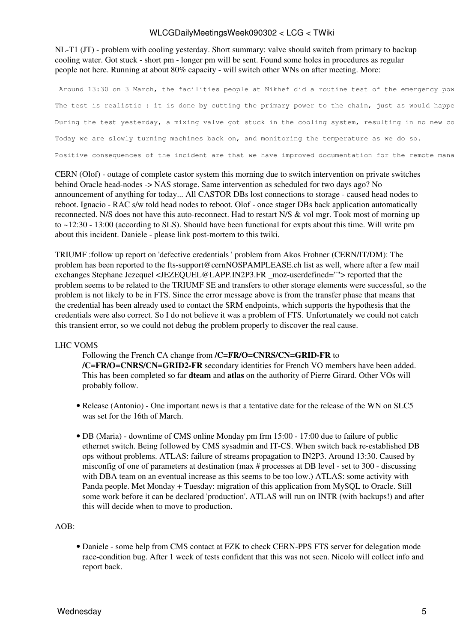NL-T1 (JT) - problem with cooling yesterday. Short summary: valve should switch from primary to backup cooling water. Got stuck - short pm - longer pm will be sent. Found some holes in procedures as regular people not here. Running at about 80% capacity - will switch other WNs on after meeting. More:

Around 13:30 on 3 March, the facilities people at Nikhef did a routine test of the emergency pow The test is realistic : it is done by cutting the primary power to the chain, just as would happe During the test yesterday, a mixing valve got stuck in the cooling system, resulting in no new co Today we are slowly turning machines back on, and monitoring the temperature as we do so. Positive consequences of the incident are that we have improved documentation for the remote mana

CERN (Olof) - outage of complete castor system this morning due to switch intervention on private switches behind Oracle head-nodes -> NAS storage. Same intervention as scheduled for two days ago? No announcement of anything for today... All CASTOR DBs lost connections to storage - caused head nodes to reboot. Ignacio - RAC s/w told head nodes to reboot. Olof - once stager DBs back application automatically reconnected. N/S does not have this auto-reconnect. Had to restart N/S & vol mgr. Took most of morning up to ~12:30 - 13:00 (according to SLS). Should have been functional for expts about this time. Will write pm about this incident. Daniele - please link post-mortem to this twiki.

TRIUMF :follow up report on 'defective credentials ' problem from Akos Frohner (CERN/IT/DM): The problem has been reported to the [fts-support@cernNOSPAMPLEASE.ch](mailto:fts-support@cernNOSPAMPLEASE.ch) list as well, where after a few mail exchanges Stephane Jezequel <JEZEQUEL@LAPP.IN2P3.FR \_moz-userdefined=""> reported that the problem seems to be related to the TRIUMF SE and transfers to other storage elements were successful, so the problem is not likely to be in FTS. Since the error message above is from the transfer phase that means that the credential has been already used to contact the SRM endpoints, which supports the hypothesis that the credentials were also correct. So I do not believe it was a problem of FTS. Unfortunately we could not catch this transient error, so we could not debug the problem properly to discover the real cause.

#### LHC [VOMS](https://twiki.cern.ch/twiki/bin/view/LCG/VOMS)

Following the French CA change from **/C=FR/O=CNRS/CN=GRID-FR** to **/C=FR/O=CNRS/CN=GRID2-FR** secondary identities for French VO members have been added. This has been completed so far **dteam** and **atlas** on the authority of Pierre Girard. Other VOs will probably follow.

- Release (Antonio) One important news is that a tentative date for the release of the WN on SLC5 was set for the 16th of March.
- DB (Maria) downtime of CMS online Monday pm frm 15:00 17:00 due to failure of public ethernet switch. Being followed by CMS sysadmin and IT-CS. When switch back re-established DB ops without problems. ATLAS: failure of streams propagation to [IN2P3](https://twiki.cern.ch/twiki/bin/view/LCG/IN2P3). Around 13:30. Caused by misconfig of one of parameters at destination (max # processes at DB level - set to 300 - discussing with DBA team on an eventual increase as this seems to be too low.) ATLAS: some activity with Panda people. Met Monday + Tuesday: migration of this application from [MySQL](https://twiki.cern.ch/twiki/bin/edit/LCG/MySQL?topicparent=LCG.WLCGDailyMeetingsWeek090302;nowysiwyg=1) to Oracle. Still some work before it can be declared 'production'. ATLAS will run on INTR (with backups!) and after this will decide when to move to production.

#### AOB:

Daniele - some help from CMS contact at FZK to check CERN-PPS FTS server for delegation mode • race-condition bug. After 1 week of tests confident that this was not seen. Nicolo will collect info and report back.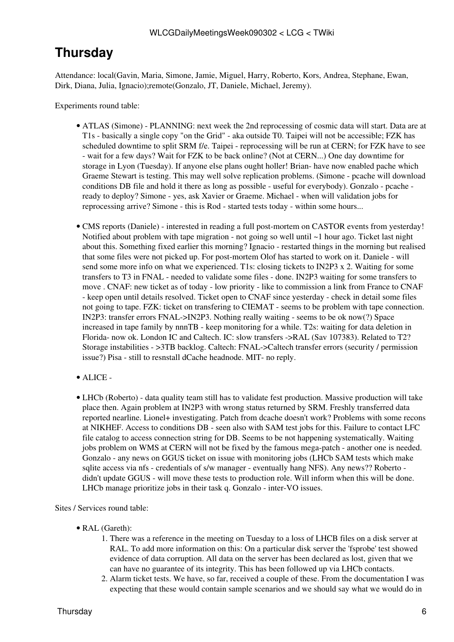### <span id="page-6-0"></span>**Thursday**

Attendance: local(Gavin, Maria, Simone, Jamie, Miguel, Harry, Roberto, Kors, Andrea, Stephane, Ewan, Dirk, Diana, Julia, Ignacio);remote(Gonzalo, JT, Daniele, Michael, Jeremy).

Experiments round table:

- ATLAS (Simone) PLANNING: next week the 2nd reprocessing of cosmic data will start. Data are at T1s - basically a single copy "on the Grid" - aka outside T0. Taipei will not be accessible; FZK has scheduled downtime to split SRM f/e. Taipei - reprocessing will be run at CERN; for FZK have to see - wait for a few days? Wait for FZK to be back online? (Not at CERN...) One day downtime for storage in Lyon (Tuesday). If anyone else plans ought holler! Brian- have now enabled pache which Graeme Stewart is testing. This may well solve replication problems. (Simone - pcache will download conditions DB file and hold it there as long as possible - useful for everybody). Gonzalo - pcache ready to deploy? Simone - yes, ask Xavier or Graeme. Michael - when will validation jobs for reprocessing arrive? Simone - this is Rod - started tests today - within some hours...
- CMS [reports](https://twiki.cern.ch/twiki/bin/view/CMS/FacOps_WLCGdailyreports) (Daniele) interested in reading a full post-mortem on CASTOR events from yesterday! Notified about problem with tape migration - not going so well until ~1 hour ago. Ticket last night about this. Something fixed earlier this morning? Ignacio - restarted things in the morning but realised that some files were not picked up. For post-mortem Olof has started to work on it. Daniele - will send some more info on what we experienced. T1s: closing tickets to [IN2P3](https://twiki.cern.ch/twiki/bin/view/LCG/IN2P3) x 2. Waiting for some transfers to T3 in FNAL - needed to validate some files - done. [IN2P3](https://twiki.cern.ch/twiki/bin/view/LCG/IN2P3) waiting for some transfers to move . CNAF: new ticket as of today - low priority - like to commission a link from France to CNAF - keep open until details resolved. Ticket open to CNAF since yesterday - check in detail some files not going to tape. FZK: ticket on transfering to CIEMAT - seems to be problem with tape connection. [IN2P3:](https://twiki.cern.ch/twiki/bin/view/LCG/IN2P3) transfer errors FNAL->IN2P3. Nothing really waiting - seems to be ok now(?) Space increased in tape family by nnnTB - keep monitoring for a while. T2s: waiting for data deletion in Florida- now ok. London IC and Caltech. IC: slow transfers ->RAL (Sav 107383). Related to T2? Storage instabilities - >3TB backlog. Caltech: FNAL->Caltech transfer errors (security / permission issue?) Pisa - still to resnstall dCache headnode. MIT- no reply.
- ALICE -
- LHCb (Roberto) data quality team still has to validate fest production. Massive production will take place then. Again problem at [IN2P3](https://twiki.cern.ch/twiki/bin/view/LCG/IN2P3) with wrong status returned by SRM. Freshly transferred data reported nearline. Lionel+ investigating. Patch from dcache doesn't work? Problems with some recons at NIKHEF. Access to conditions DB - seen also with SAM test jobs for this. Failure to contact LFC file catalog to access connection string for DB. Seems to be not happening systematically. Waiting jobs problem on WMS at CERN will not be fixed by the famous mega-patch - another one is needed. Gonzalo - any news on GGUS ticket on issue with monitoring jobs (LHCb SAM tests which make sqlite access via nfs - credentials of s/w manager - eventually hang NFS). Any news?? Roberto didn't update GGUS - will move these tests to production role. Will inform when this will be done. LHCb manage prioritize jobs in their task q. Gonzalo - inter-VO issues.

Sites / Services round table:

- [RAL](https://twiki.cern.ch/twiki/bin/view/LCG/RAL) (Gareth):
	- 1. There was a reference in the meeting on Tuesday to a loss of LHCB files on a disk server at [RAL](https://twiki.cern.ch/twiki/bin/view/LCG/RAL). To add more information on this: On a particular disk server the 'fsprobe' test showed evidence of data corruption. All data on the server has been declared as lost, given that we can have no guarantee of its integrity. This has been followed up via LHCb contacts.
	- 2. Alarm ticket tests. We have, so far, received a couple of these. From the documentation I was expecting that these would contain sample scenarios and we should say what we would do in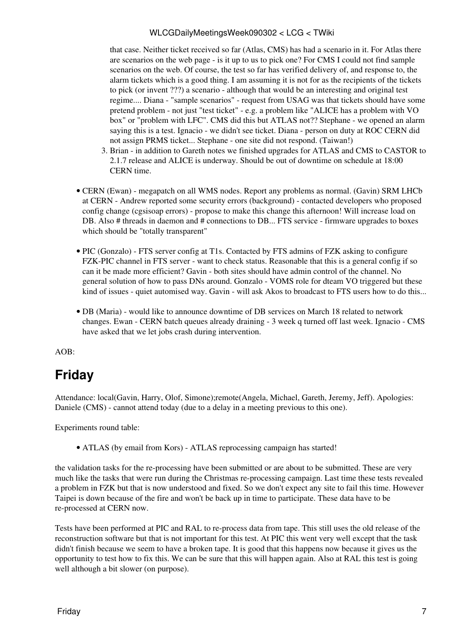that case. Neither ticket received so far (Atlas, CMS) has had a scenario in it. For Atlas there are scenarios on the web page - is it up to us to pick one? For CMS I could not find sample scenarios on the web. Of course, the test so far has verified delivery of, and response to, the alarm tickets which is a good thing. I am assuming it is not for as the recipients of the tickets to pick (or invent ???) a scenario - although that would be an interesting and original test regime.... Diana - "sample scenarios" - request from USAG was that tickets should have some pretend problem - not just "test ticket" - e.g. a problem like "ALICE has a problem with VO box" or "problem with LFC". CMS did this but ATLAS not?? Stephane - we opened an alarm saying this is a test. Ignacio - we didn't see ticket. Diana - person on duty at ROC CERN did not assign PRMS ticket... Stephane - one site did not respond. (Taiwan!)

- 3. Brian in addition to Gareth notes we finished upgrades for ATLAS and CMS to CASTOR to 2.1.7 release and ALICE is underway. Should be out of downtime on schedule at 18:00 CERN time.
- CERN (Ewan) megapatch on all WMS nodes. Report any problems as normal. (Gavin) SRM LHCb at CERN - Andrew reported some security errors (background) - contacted developers who proposed config change (cgsisoap errors) - propose to make this change this afternoon! Will increase load on DB. Also # threads in daemon and # connections to DB... FTS service - firmware upgrades to boxes which should be "totally transparent"
- PIC (Gonzalo) FTS server config at T1s. Contacted by FTS admins of FZK asking to configure FZK-PIC channel in FTS server - want to check status. Reasonable that this is a general config if so can it be made more efficient? Gavin - both sites should have admin control of the channel. No general solution of how to pass DNs around. Gonzalo - [VOMS](https://twiki.cern.ch/twiki/bin/view/LCG/VOMS) role for dteam VO triggered but these kind of issues - quiet automised way. Gavin - will ask Akos to broadcast to FTS users how to do this...
- DB (Maria) would like to announce downtime of DB services on March 18 related to network changes. Ewan - CERN batch queues already draining - 3 week q turned off last week. Ignacio - CMS have asked that we let jobs crash during intervention.

AOB:

## <span id="page-7-0"></span>**Friday**

Attendance: local(Gavin, Harry, Olof, Simone);remote(Angela, Michael, Gareth, Jeremy, Jeff). Apologies: Daniele (CMS) - cannot attend today (due to a delay in a meeting previous to this one).

Experiments round table:

• ATLAS (by email from Kors) - ATLAS reprocessing campaign has started!

the validation tasks for the re-processing have been submitted or are about to be submitted. These are very much like the tasks that were run during the Christmas re-processing campaign. Last time these tests revealed a problem in FZK but that is now understood and fixed. So we don't expect any site to fail this time. However Taipei is down because of the fire and won't be back up in time to participate. These data have to be re-processed at CERN now.

Tests have been performed at PIC and [RAL](https://twiki.cern.ch/twiki/bin/view/LCG/RAL) to re-process data from tape. This still uses the old release of the reconstruction software but that is not important for this test. At PIC this went very well except that the task didn't finish because we seem to have a broken tape. It is good that this happens now because it gives us the opportunity to test how to fix this. We can be sure that this will happen again. Also at [RAL](https://twiki.cern.ch/twiki/bin/view/LCG/RAL) this test is going well although a bit slower (on purpose).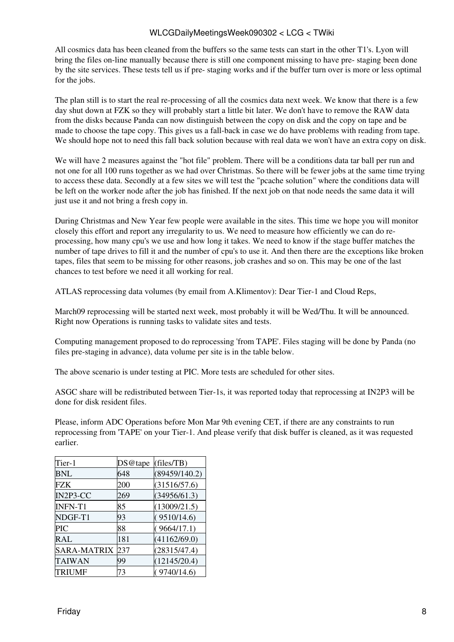All cosmics data has been cleaned from the buffers so the same tests can start in the other T1's. Lyon will bring the files on-line manually because there is still one component missing to have pre- staging been done by the site services. These tests tell us if pre- staging works and if the buffer turn over is more or less optimal for the jobs.

The plan still is to start the real re-processing of all the cosmics data next week. We know that there is a few day shut down at FZK so they will probably start a little bit later. We don't have to remove the RAW data from the disks because Panda can now distinguish between the copy on disk and the copy on tape and be made to choose the tape copy. This gives us a fall-back in case we do have problems with reading from tape. We should hope not to need this fall back solution because with real data we won't have an extra copy on disk.

We will have 2 measures against the "hot file" problem. There will be a conditions data tar ball per run and not one for all 100 runs together as we had over Christmas. So there will be fewer jobs at the same time trying to access these data. Secondly at a few sites we will test the "pcache solution" where the conditions data will be left on the worker node after the job has finished. If the next job on that node needs the same data it will just use it and not bring a fresh copy in.

During Christmas and New Year few people were available in the sites. This time we hope you will monitor closely this effort and report any irregularity to us. We need to measure how efficiently we can do reprocessing, how many cpu's we use and how long it takes. We need to know if the stage buffer matches the number of tape drives to fill it and the number of cpu's to use it. And then there are the exceptions like broken tapes, files that seem to be missing for other reasons, job crashes and so on. This may be one of the last chances to test before we need it all working for real.

ATLAS reprocessing data volumes (by email from A.Klimentov): Dear Tier-1 and Cloud Reps,

March09 reprocessing will be started next week, most probably it will be Wed/Thu. It will be announced. Right now Operations is running tasks to validate sites and tests.

Computing management proposed to do reprocessing 'from TAPE'. Files staging will be done by Panda (no files pre-staging in advance), data volume per site is in the table below.

The above scenario is under testing at PIC. More tests are scheduled for other sites.

ASGC share will be redistributed between Tier-1s, it was reported today that reprocessing at [IN2P3](https://twiki.cern.ch/twiki/bin/view/LCG/IN2P3) will be done for disk resident files.

Please, inform ADC Operations before Mon Mar 9th evening CET, if there are any constraints to run reprocessing from 'TAPE' on your Tier-1. And please verify that disk buffer is cleaned, as it was requested earlier.

| Tier-1         | DS@tape | (files/TB)    |
|----------------|---------|---------------|
| <b>BNL</b>     | 648     | (89459/140.2) |
| FZK            | 200     | (31516/57.6)  |
| IN2P3-CC       | 269     | (34956/61.3)  |
| <b>INFN-T1</b> | 85      | (13009/21.5)  |
| NDGF-T1        | 93      | (9510/14.6)   |
| PIC            | 88      | (9664/17.1)   |
| RAL            | 181     | (41162/69.0)  |
| SARA-MATRIX    | 237     | (28315/47.4)  |
| <b>TAIWAN</b>  | 99      | (12145/20.4)  |
| TRIUMF         | 73      | (9740/14.6)   |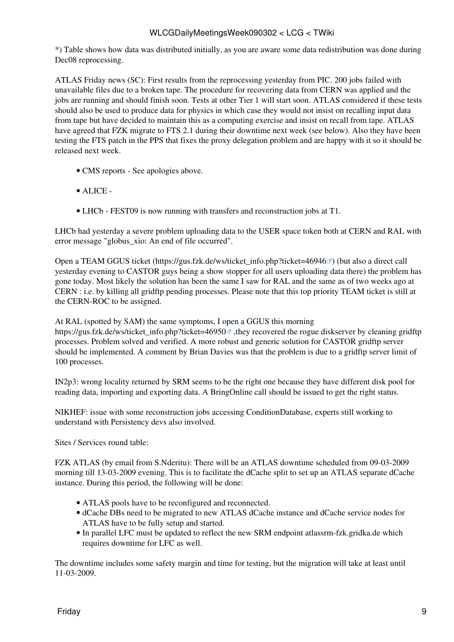\*) Table shows how data was distributed initially, as you are aware some data redistribution was done during Dec08 reprocessing.

ATLAS Friday news (SC): First results from the reprocessing yesterday from PIC. 200 jobs failed with unavailable files due to a broken tape. The procedure for recovering data from CERN was applied and the jobs are running and should finish soon. Tests at other Tier 1 will start soon. ATLAS considered if these tests should also be used to produce data for physics in which case they would not insist on recalling input data from tape but have decided to maintain this as a computing exercise and insist on recall from tape. ATLAS have agreed that FZK migrate to FTS 2.1 during their downtime next week (see below). Also they have been testing the FTS patch in the PPS that fixes the proxy delegation problem and are happy with it so it should be released next week.

- CMS [reports](https://twiki.cern.ch/twiki/bin/view/CMS/FacOps_WLCGdailyreports) See apologies above.
- ALICE -
- LHCb FEST09 is now running with transfers and reconstruction jobs at T1.

LHCb had yesterday a severe problem uploading data to the USER space token both at CERN and [RAL](https://twiki.cern.ch/twiki/bin/view/LCG/RAL) with error message "globus\_xio: An end of file occurred".

Open a TEAM GGUS ticket ([https://gus.fzk.de/ws/ticket\\_info.php?ticket=46946](https://gus.fzk.de/ws/ticket_info.php?ticket=46946)<sup>®</sup>) (but also a direct call yesterday evening to CASTOR guys being a show stopper for all users uploading data there) the problem has gone today. Most likely the solution has been the same I saw for [RAL](https://twiki.cern.ch/twiki/bin/view/LCG/RAL) and the same as of two weeks ago at CERN : i.e. by killing all gridftp pending processes. Please note that this top priority TEAM ticket is still at the CERN-ROC to be assigned.

At [RAL](https://twiki.cern.ch/twiki/bin/view/LCG/RAL) (spotted by SAM) the same symptoms, I open a GGUS this morning

[https://gus.fzk.de/ws/ticket\\_info.php?ticket=46950](https://gus.fzk.de/ws/ticket_info.php?ticket=46950)<sup> $\alpha$ </sup>,they recovered the rogue diskserver by cleaning gridftp processes. Problem solved and verified. A more robust and generic solution for CASTOR gridftp server should be implemented. A comment by Brian Davies was that the problem is due to a gridftp server limit of 100 processes.

IN2p3: wrong locality returned by SRM seems to be the right one because they have different disk pool for reading data, importing and exporting data. A [BringOnline](https://twiki.cern.ch/twiki/bin/edit/LCG/BringOnline?topicparent=LCG.WLCGDailyMeetingsWeek090302;nowysiwyg=1) call should be issued to get the right status.

NIKHEF: issue with some reconstruction jobs accessing [ConditionDatabase](https://twiki.cern.ch/twiki/bin/edit/LCG/ConditionDatabase?topicparent=LCG.WLCGDailyMeetingsWeek090302;nowysiwyg=1), experts still working to understand with Persistency devs also involved.

Sites / Services round table:

FZK ATLAS (by email from S.Nderitu): There will be an ATLAS downtime scheduled from 09-03-2009 morning till 13-03-2009 evening. This is to facilitate the dCache split to set up an ATLAS separate dCache instance. During this period, the following will be done:

- ATLAS pools have to be reconfigured and reconnected.
- dCache DBs need to be migrated to new ATLAS dCache instance and dCache service nodes for ATLAS have to be fully setup and started.
- In parallel LFC must be updated to reflect the new SRM endpoint atlassrm-fzk.gridka.de which requires downtime for LFC as well.

The downtime includes some safety margin and time for testing, but the migration will take at least until 11-03-2009.